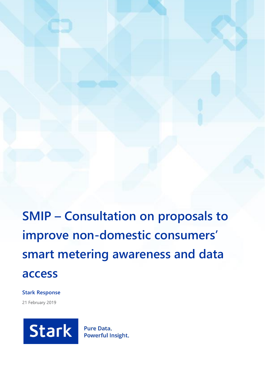**SMIP – Consultation on proposals to improve non-domestic consumers' smart metering awareness and data access**

**Stark Response**

21 February 2019



**Pure Data.** Powerful Insight.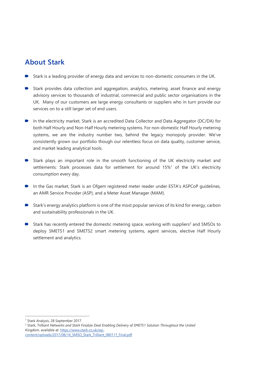## **About Stark**

- Stark is a leading provider of energy data and services to non-domestic consumers in the UK.
- Stark provides data collection and aggregation, analytics, metering, asset finance and energy advisory services to thousands of industrial, commercial and public sector organisations in the UK. Many of our customers are large energy consultants or suppliers who in turn provide our services on to a still larger set of end users.
- In the electricity market, Stark is an accredited Data Collector and Data Aggregator (DC/DA) for both Half Hourly and Non-Half Hourly metering systems. For non-domestic Half Hourly metering systems, we are the industry number two, behind the legacy monopoly provider. We've consistently grown our portfolio though our relentless focus on data quality, customer service, and market leading analytical tools.
- Stark plays an important role in the smooth functioning of the UK electricity market and settlements: Stark processes data for settlement for around 15%<sup>1</sup> of the UK's electricity consumption every day.
- **In the Gas market, Stark is an Ofgem registered meter reader under ESTA's ASPCoP guidelines,** an AMR Service Provider (ASP), and a Meter Asset Manager (MAM).
- Stark's energy analytics platform is one of the most popular services of its kind for energy, carbon and sustainability professionals in the UK.
- Stark has recently entered the domestic metering space, working with suppliers<sup>2</sup> and SMSOs to deploy SMETS1 and SMETS2 smart metering systems, agent services, elective Half Hourly settlement and analytics.

 $\overline{a}$ 

<sup>1</sup> Stark Analysis, 28 September 2017

<sup>2</sup> Stark, *Trilliant Networks and Stark Finalize Deal Enabling Delivery of SMETS1 Solution Throughout the United Kingdom*, available at[: https://www.stark.co.uk/wp](https://www.stark.co.uk/wp-content/uploads/2017/08/14_SMSO_Stark_Trilliant_080117_Final.pdf)[content/uploads/2017/08/14\\_SMSO\\_Stark\\_Trilliant\\_080117\\_Final.pdf](https://www.stark.co.uk/wp-content/uploads/2017/08/14_SMSO_Stark_Trilliant_080117_Final.pdf)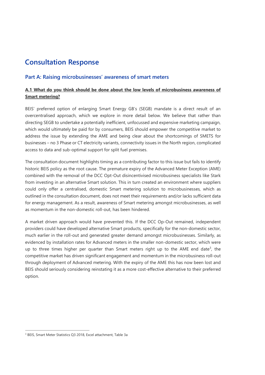# **Consultation Response**

## **Part A: Raising microbusinesses' awareness of smart meters**

## **A.1 What do you think should be done about the low levels of microbusiness awareness of Smart metering?**

BEIS' preferred option of enlarging Smart Energy GB's (SEGB) mandate is a direct result of an overcentralised approach, which we explore in more detail below. We believe that rather than directing SEGB to undertake a potentially inefficient, unfocussed and expensive marketing campaign, which would ultimately be paid for by consumers, BEIS should empower the competitive market to address the issue by extending the AME and being clear about the shortcomings of SMETS for businesses – no 3 Phase or CT electricity variants, connectivity issues in the North region, complicated access to data and sub-optimal support for split fuel premises.

The consultation document highlights timing as a contributing factor to this issue but fails to identify historic BEIS policy as the root cause. The premature expiry of the Advanced Meter Exception (AME) combined with the removal of the DCC Opt-Out disincentivised microbusiness specialists like Stark from investing in an alternative Smart solution. This in turn created an environment where suppliers could only offer a centralised, domestic Smart metering solution to microbusinesses, which as outlined in the consultation document, does not meet their requirements and/or lacks sufficient data for energy management. As a result, awareness of Smart metering amongst microbusinesses, as well as momentum in the non-domestic roll-out, has been hindered.

A market driven approach would have prevented this. If the DCC Op-Out remained, independent providers could have developed alternative Smart products, specifically for the non-domestic sector, much earlier in the roll-out and generated greater demand amongst microbusinesses. Similarly, as evidenced by installation rates for Advanced meters in the smaller non-domestic sector, which were up to three times higher per quarter than Smart meters right up to the AME end date<sup>3</sup>, the competitive market has driven significant engagement and momentum in the microbusiness roll-out through deployment of Advanced metering. With the expiry of the AME this has now been lost and BEIS should seriously considering reinstating it as a more cost-effective alternative to their preferred option.

 $\overline{a}$ 

<sup>3</sup> BEIS, Smart Meter Statistics Q3 2018, Excel attachment, Table 3a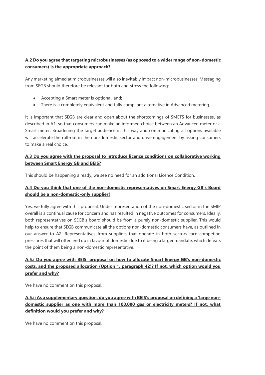## **A.2 Do you agree that targeting microbusinesses (as opposed to a wider range of non-domestic consumers) is the appropriate approach?**

Any marketing aimed at microbusinesses will also inevitably impact non-microbusinesses. Messaging from SEGB should therefore be relevant for both and stress the following:

- Accepting a Smart meter is optional, and;
- There is a completely equivalent and fully compliant alternative in Advanced metering

It is important that SEGB are clear and open about the shortcomings of SMETS for businesses, as described in A1, so that consumers can make an informed choice between an Advanced meter or a Smart meter. Broadening the target audience in this way and communicating all options available will accelerate the roll-out in the non-domestic sector and drive engagement by asking consumers to make a real choice.

### **A.3 Do you agree with the proposal to introduce licence conditions on collaborative working between Smart Energy GB and BEIS?**

This should be happening already, we see no need for an additional Licence Condition.

## **A.4 Do you think that one of the non-domestic representatives on Smart Energy GB's Board should be a non-domestic-only supplier?**

Yes, we fully agree with this proposal. Under representation of the non-domestic sector in the SMIP overall is a continual cause for concern and has resulted in negative outcomes for consumers. Ideally, both representatives on SEGB's board should be from a purely non-domestic supplier. This would help to ensure that SEGB communicate all the options non-domestic consumers have, as outlined in our answer to A2. Representatives from suppliers that operate in both sectors face competing pressures that will often end up in favour of domestic due to it being a larger mandate, which defeats the point of them being a non-domestic representative.

## **A.5.i Do you agree with BEIS' proposal on how to allocate Smart Energy GB's non-domestic costs, and the proposed allocation (Option 1, paragraph 42)? If not, which option would you prefer and why?**

We have no comment on this proposal.

**A.5.ii As a supplementary question, do you agree with BEIS's proposal on defining a 'large nondomestic supplier as one with more than 100,000 gas or electricity meters? If not, what definition would you prefer and why?**

We have no comment on this proposal.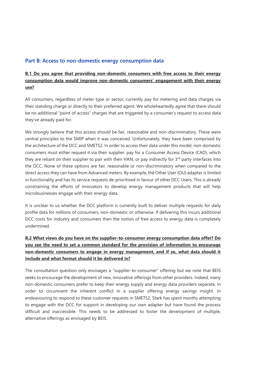### **Part B: Access to non-domestic energy consumption data**

## **B.1 Do you agree that providing non-domestic consumers with free access to their energy consumption data would improve non-domestic consumers' engagement with their energy use?**

All consumers, regardless of meter type or sector, currently pay for metering and data charges via their standing charge or directly to their preferred agent. We wholeheartedly agree that there should be no additional "point of access" charges that are triggered by a consumer's request to access data they've already paid for.

We strongly believe that this access should be fair, reasonable and non-discriminatory. These were central principles to the SMIP when it was conceived. Unfortunately, they have been comprised by the architecture of the DCC and SMETS2. In order to access their data under this model, non-domestic consumers must either request it via their supplier, pay for a Consumer Access Device (CAD), which they are reliant on their supplier to pair with their HAN, or pay indirectly for  $3<sup>rd</sup>$  party interfaces into the DCC. None of these options are fair, reasonable or non-discriminatory when compared to the direct access they can have from Advanced meters. By example, the Other User (OU) adapter is limited in functionality and has its service requests de-prioritised in favour of other DCC Users. This is already constraining the efforts of innovators to develop energy management products that will help microbusinesses engage with their energy data.

It is unclear to us whether the DCC platform is currently built to deliver multiple requests for daily profile data for millions of consumers, non-domestic or otherwise. If delivering this incurs additional DCC costs for industry and consumers then the notion of free access to energy data is completely undermined.

## **B.2 What views do you have on the supplier-to-consumer energy consumption data offer? Do you see the need to set a common standard for the provision of information to encourage non-domestic consumers to engage in energy management, and if so, what data should it include and what format should it be delivered in?**

The consultation question only envisages a "supplier-to-consumer" offering but we note that BEIS seeks to encourage the development of new, innovative offerings from other providers. Indeed, many non-domestic consumers prefer to keep their energy supply and energy data providers separate, in order to circumvent the inherent conflict in a supplier offering energy savings insight. In endeavouring to respond to these customer requests in SMETS2, Stark has spent months attempting to engage with the DCC for support in developing our own adapter but have found the process difficult and inaccessible. This needs to be addressed to foster the development of multiple, alternative offerings as envisaged by BEIS.